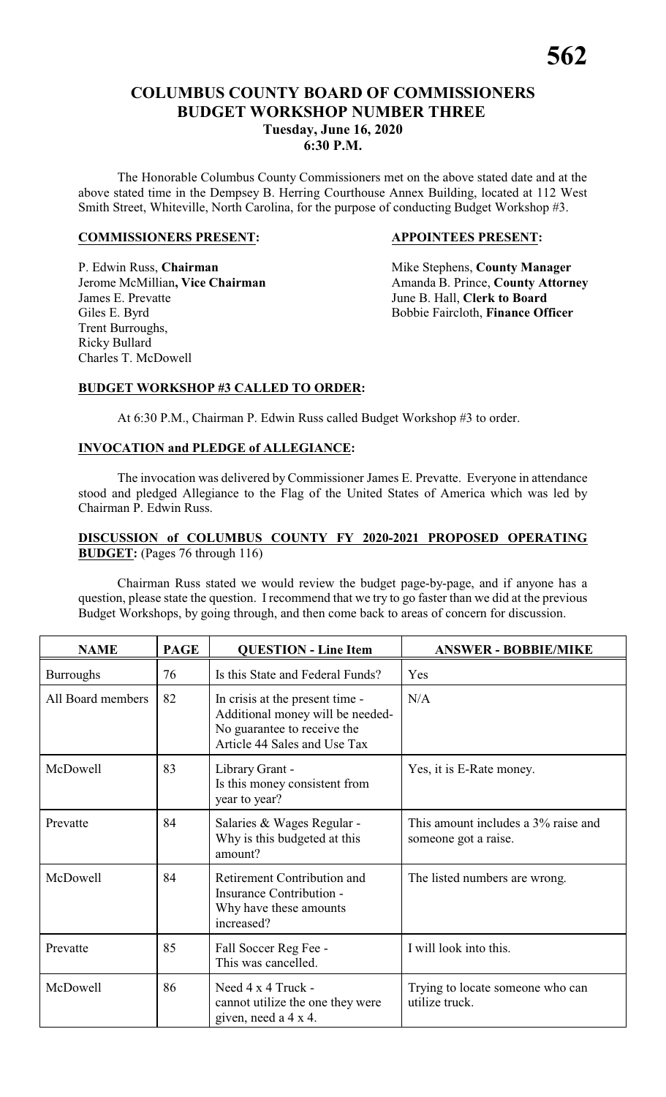# **COLUMBUS COUNTY BOARD OF COMMISSIONERS BUDGET WORKSHOP NUMBER THREE Tuesday, June 16, 2020 6:30 P.M.**

The Honorable Columbus County Commissioners met on the above stated date and at the above stated time in the Dempsey B. Herring Courthouse Annex Building, located at 112 West Smith Street, Whiteville, North Carolina, for the purpose of conducting Budget Workshop #3.

#### **COMMISSIONERS PRESENT: APPOINTEES PRESENT:**

P. Edwin Russ, **Chairman** Mike Stephens, **County Manager**<br>
Jerome McMillian, Vice Chairman Manager Amanda B. Prince, **County Attorn** James E. Prevatte June B. Hall, **Clerk to Board** Giles E. Byrd Bobbie Faircloth, **Finance Officer** Trent Burroughs, Ricky Bullard Charles T. McDowell

Amanda B. Prince, **County Attorney** 

#### **BUDGET WORKSHOP #3 CALLED TO ORDER:**

At 6:30 P.M., Chairman P. Edwin Russ called Budget Workshop #3 to order.

#### **INVOCATION and PLEDGE of ALLEGIANCE:**

The invocation was delivered by Commissioner James E. Prevatte. Everyone in attendance stood and pledged Allegiance to the Flag of the United States of America which was led by Chairman P. Edwin Russ.

#### **DISCUSSION of COLUMBUS COUNTY FY 2020-2021 PROPOSED OPERATING BUDGET:** (Pages 76 through 116)

Chairman Russ stated we would review the budget page-by-page, and if anyone has a question, please state the question. I recommend that we try to go faster than we did at the previous Budget Workshops, by going through, and then come back to areas of concern for discussion.

| <b>NAME</b>       | <b>PAGE</b> | <b>QUESTION - Line Item</b>                                                                                                        | <b>ANSWER - BOBBIE/MIKE</b>                                 |
|-------------------|-------------|------------------------------------------------------------------------------------------------------------------------------------|-------------------------------------------------------------|
| <b>Burroughs</b>  | 76          | Is this State and Federal Funds?                                                                                                   | Yes                                                         |
| All Board members | 82          | In crisis at the present time -<br>Additional money will be needed-<br>No guarantee to receive the<br>Article 44 Sales and Use Tax | N/A                                                         |
| McDowell          | 83          | Library Grant -<br>Is this money consistent from<br>year to year?                                                                  | Yes, it is E-Rate money.                                    |
| Prevatte          | 84          | Salaries & Wages Regular -<br>Why is this budgeted at this<br>amount?                                                              | This amount includes a 3% raise and<br>someone got a raise. |
| McDowell          | 84          | Retirement Contribution and<br>Insurance Contribution -<br>Why have these amounts<br>increased?                                    | The listed numbers are wrong.                               |
| Prevatte          | 85          | Fall Soccer Reg Fee -<br>This was cancelled.                                                                                       | I will look into this.                                      |
| McDowell          | 86          | Need 4 x 4 Truck -<br>cannot utilize the one they were<br>given, need a 4 x 4.                                                     | Trying to locate someone who can<br>utilize truck.          |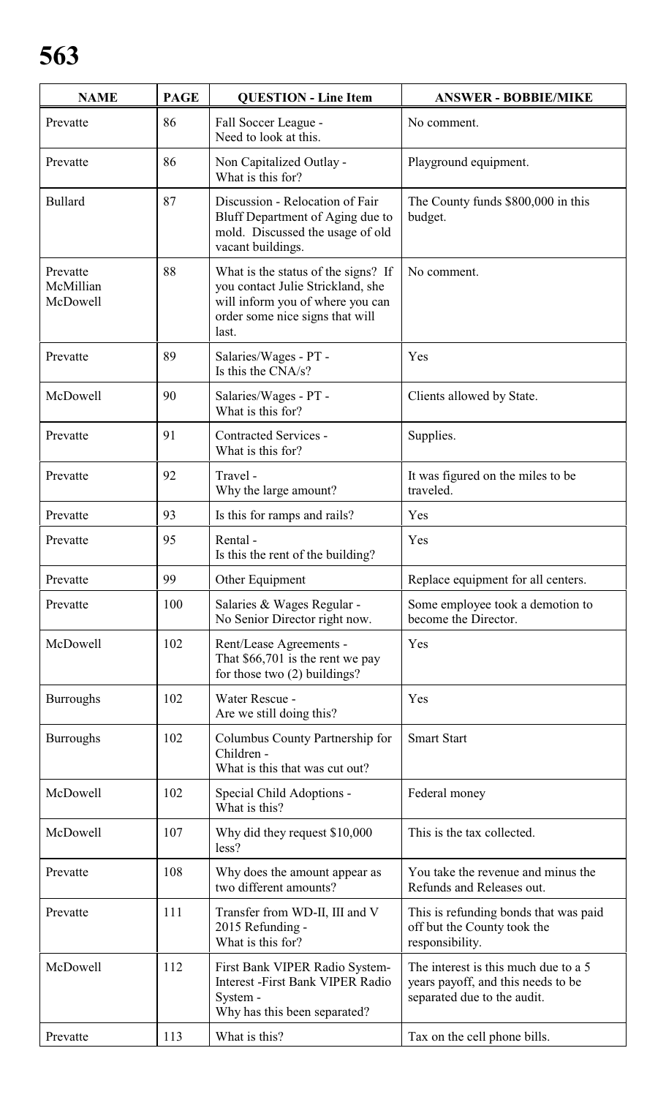| <b>NAME</b>                       | <b>PAGE</b> | <b>QUESTION - Line Item</b>                                                                                                                              | <b>ANSWER - BOBBIE/MIKE</b>                                                                               |
|-----------------------------------|-------------|----------------------------------------------------------------------------------------------------------------------------------------------------------|-----------------------------------------------------------------------------------------------------------|
| Prevatte                          | 86          | Fall Soccer League -<br>Need to look at this.                                                                                                            | No comment.                                                                                               |
| Prevatte                          | 86          | Non Capitalized Outlay -<br>What is this for?                                                                                                            | Playground equipment.                                                                                     |
| <b>Bullard</b>                    | 87          | Discussion - Relocation of Fair<br>Bluff Department of Aging due to<br>mold. Discussed the usage of old<br>vacant buildings.                             | The County funds \$800,000 in this<br>budget.                                                             |
| Prevatte<br>McMillian<br>McDowell | 88          | What is the status of the signs? If<br>you contact Julie Strickland, she<br>will inform you of where you can<br>order some nice signs that will<br>last. | No comment.                                                                                               |
| Prevatte                          | 89          | Salaries/Wages - PT -<br>Is this the CNA/s?                                                                                                              | Yes                                                                                                       |
| McDowell                          | 90          | Salaries/Wages - PT -<br>What is this for?                                                                                                               | Clients allowed by State.                                                                                 |
| Prevatte                          | 91          | <b>Contracted Services -</b><br>What is this for?                                                                                                        | Supplies.                                                                                                 |
| Prevatte                          | 92          | Travel -<br>Why the large amount?                                                                                                                        | It was figured on the miles to be<br>traveled.                                                            |
| Prevatte                          | 93          | Is this for ramps and rails?                                                                                                                             | Yes                                                                                                       |
| Prevatte                          | 95          | Rental -<br>Is this the rent of the building?                                                                                                            | Yes                                                                                                       |
| Prevatte                          | 99          | Other Equipment                                                                                                                                          | Replace equipment for all centers.                                                                        |
| Prevatte                          | 100         | Salaries & Wages Regular -<br>No Senior Director right now.                                                                                              | Some employee took a demotion to<br>become the Director.                                                  |
| McDowell                          | 102         | Rent/Lease Agreements -<br>That $$66,701$ is the rent we pay<br>for those two $(2)$ buildings?                                                           | Yes                                                                                                       |
| <b>Burroughs</b>                  | 102         | Water Rescue -<br>Are we still doing this?                                                                                                               | Yes                                                                                                       |
| <b>Burroughs</b>                  | 102         | Columbus County Partnership for<br>Children -<br>What is this that was cut out?                                                                          | <b>Smart Start</b>                                                                                        |
| McDowell                          | 102         | Special Child Adoptions -<br>What is this?                                                                                                               | Federal money                                                                                             |
| McDowell                          | 107         | Why did they request \$10,000<br>less?                                                                                                                   | This is the tax collected.                                                                                |
| Prevatte                          | 108         | Why does the amount appear as<br>two different amounts?                                                                                                  | You take the revenue and minus the<br>Refunds and Releases out.                                           |
| Prevatte                          | 111         | Transfer from WD-II, III and V<br>2015 Refunding -<br>What is this for?                                                                                  | This is refunding bonds that was paid<br>off but the County took the<br>responsibility.                   |
| McDowell                          | 112         | First Bank VIPER Radio System-<br><b>Interest -First Bank VIPER Radio</b><br>System -<br>Why has this been separated?                                    | The interest is this much due to a 5<br>years payoff, and this needs to be<br>separated due to the audit. |
| Prevatte                          | 113         | What is this?                                                                                                                                            | Tax on the cell phone bills.                                                                              |